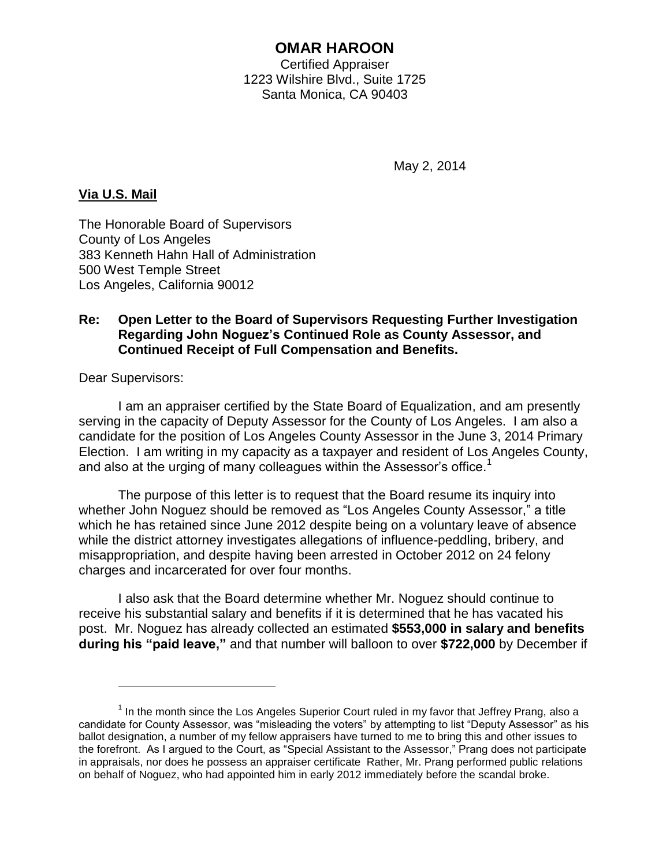# **OMAR HAROON**

Certified Appraiser 1223 Wilshire Blvd., Suite 1725 Santa Monica, CA 90403

May 2, 2014

### **Via U.S. Mail**

The Honorable Board of Supervisors County of Los Angeles 383 Kenneth Hahn Hall of Administration 500 West Temple Street Los Angeles, California 90012

#### **Re: Open Letter to the Board of Supervisors Requesting Further Investigation Regarding John Noguez's Continued Role as County Assessor, and Continued Receipt of Full Compensation and Benefits.**

Dear Supervisors:

 $\overline{a}$ 

I am an appraiser certified by the State Board of Equalization, and am presently serving in the capacity of Deputy Assessor for the County of Los Angeles. I am also a candidate for the position of Los Angeles County Assessor in the June 3, 2014 Primary Election. I am writing in my capacity as a taxpayer and resident of Los Angeles County, and also at the urging of many colleagues within the Assessor's office.<sup>1</sup>

The purpose of this letter is to request that the Board resume its inquiry into whether John Noguez should be removed as "Los Angeles County Assessor," a title which he has retained since June 2012 despite being on a voluntary leave of absence while the district attorney investigates allegations of influence-peddling, bribery, and misappropriation, and despite having been arrested in October 2012 on 24 felony charges and incarcerated for over four months.

I also ask that the Board determine whether Mr. Noguez should continue to receive his substantial salary and benefits if it is determined that he has vacated his post. Mr. Noguez has already collected an estimated **\$553,000 in salary and benefits during his "paid leave,"** and that number will balloon to over **\$722,000** by December if

 $1$  In the month since the Los Angeles Superior Court ruled in my favor that Jeffrey Prang, also a candidate for County Assessor, was "misleading the voters" by attempting to list "Deputy Assessor" as his ballot designation, a number of my fellow appraisers have turned to me to bring this and other issues to the forefront. As I argued to the Court, as "Special Assistant to the Assessor," Prang does not participate in appraisals, nor does he possess an appraiser certificate Rather, Mr. Prang performed public relations on behalf of Noguez, who had appointed him in early 2012 immediately before the scandal broke.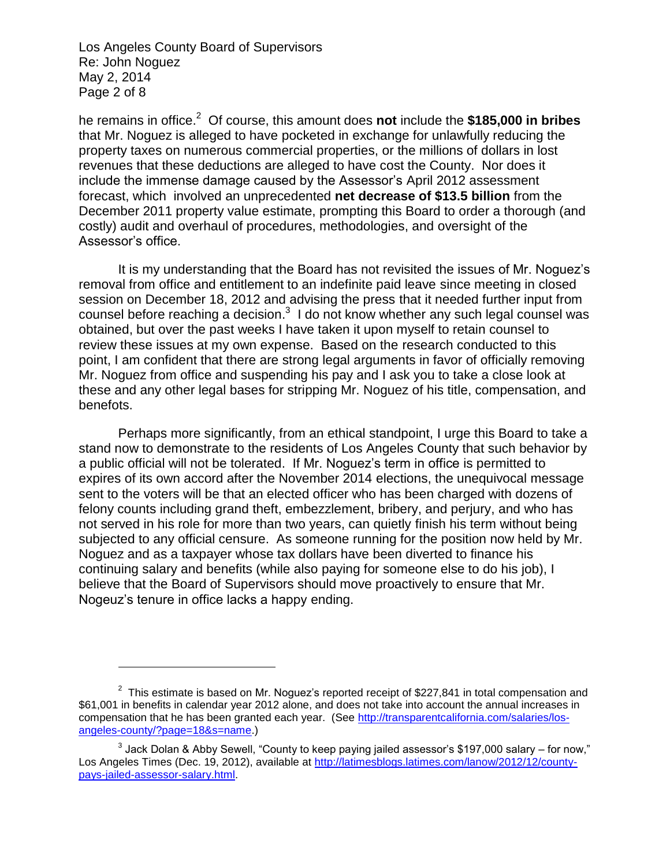Los Angeles County Board of Supervisors Re: John Noguez May 2, 2014 Page 2 of 8

 $\overline{a}$ 

he remains in office.<sup>2</sup> Of course, this amount does **not** include the \$185,000 in bribes that Mr. Noguez is alleged to have pocketed in exchange for unlawfully reducing the property taxes on numerous commercial properties, or the millions of dollars in lost revenues that these deductions are alleged to have cost the County. Nor does it include the immense damage caused by the Assessor's April 2012 assessment forecast, which involved an unprecedented **net decrease of \$13.5 billion** from the December 2011 property value estimate, prompting this Board to order a thorough (and costly) audit and overhaul of procedures, methodologies, and oversight of the Assessor's office.

It is my understanding that the Board has not revisited the issues of Mr. Noguez's removal from office and entitlement to an indefinite paid leave since meeting in closed session on December 18, 2012 and advising the press that it needed further input from counsel before reaching a decision. $3\,$  I do not know whether any such legal counsel was obtained, but over the past weeks I have taken it upon myself to retain counsel to review these issues at my own expense. Based on the research conducted to this point, I am confident that there are strong legal arguments in favor of officially removing Mr. Noguez from office and suspending his pay and I ask you to take a close look at these and any other legal bases for stripping Mr. Noguez of his title, compensation, and benefots.

Perhaps more significantly, from an ethical standpoint, I urge this Board to take a stand now to demonstrate to the residents of Los Angeles County that such behavior by a public official will not be tolerated. If Mr. Noguez's term in office is permitted to expires of its own accord after the November 2014 elections, the unequivocal message sent to the voters will be that an elected officer who has been charged with dozens of felony counts including grand theft, embezzlement, bribery, and perjury, and who has not served in his role for more than two years, can quietly finish his term without being subjected to any official censure. As someone running for the position now held by Mr. Noguez and as a taxpayer whose tax dollars have been diverted to finance his continuing salary and benefits (while also paying for someone else to do his job), I believe that the Board of Supervisors should move proactively to ensure that Mr. Nogeuz's tenure in office lacks a happy ending.

 $2$  This estimate is based on Mr. Noguez's reported receipt of \$227,841 in total compensation and \$61,001 in benefits in calendar year 2012 alone, and does not take into account the annual increases in compensation that he has been granted each year. (See [http://transparentcalifornia.com/salaries/los](http://transparentcalifornia.com/salaries/los-angeles-county/?page=18&s=name)[angeles-county/?page=18&s=name.](http://transparentcalifornia.com/salaries/los-angeles-county/?page=18&s=name))

<sup>&</sup>lt;sup>3</sup> Jack Dolan & Abby Sewell, "County to keep paying jailed assessor's \$197,000 salary – for now," Los Angeles Times (Dec. 19, 2012), available at [http://latimesblogs.latimes.com/lanow/2012/12/county](http://latimesblogs.latimes.com/lanow/2012/12/county-pays-jailed-assessor-salary.html)[pays-jailed-assessor-salary.html.](http://latimesblogs.latimes.com/lanow/2012/12/county-pays-jailed-assessor-salary.html)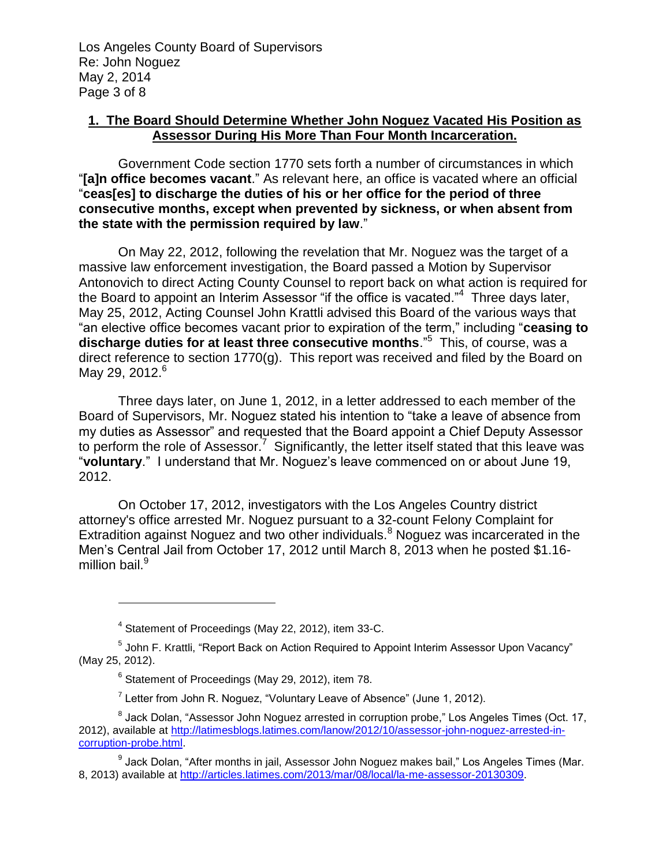### **1. The Board Should Determine Whether John Noguez Vacated His Position as Assessor During His More Than Four Month Incarceration.**

Government Code section 1770 sets forth a number of circumstances in which "**[a]n office becomes vacant**." As relevant here, an office is vacated where an official "**ceas[es] to discharge the duties of his or her office for the period of three consecutive months, except when prevented by sickness, or when absent from the state with the permission required by law**."

On May 22, 2012, following the revelation that Mr. Noguez was the target of a massive law enforcement investigation, the Board passed a Motion by Supervisor Antonovich to direct Acting County Counsel to report back on what action is required for the Board to appoint an Interim Assessor "if the office is vacated."<sup>4</sup> Three days later, May 25, 2012, Acting Counsel John Krattli advised this Board of the various ways that "an elective office becomes vacant prior to expiration of the term," including "**ceasing to discharge duties for at least three consecutive months**."<sup>5</sup> This, of course, was a direct reference to section 1770(g). This report was received and filed by the Board on May 29, 2012. $^6$ 

Three days later, on June 1, 2012, in a letter addressed to each member of the Board of Supervisors, Mr. Noguez stated his intention to "take a leave of absence from my duties as Assessor" and requested that the Board appoint a Chief Deputy Assessor to perform the role of Assessor.<sup>7</sup> Significantly, the letter itself stated that this leave was "**voluntary**." I understand that Mr. Noguez's leave commenced on or about June 19, 2012.

On October 17, 2012, investigators with the Los Angeles Country district attorney's office arrested Mr. Noguez pursuant to a 32-count Felony Complaint for Extradition against Noguez and two other individuals.<sup>8</sup> Noguez was incarcerated in the Men's Central Jail from October 17, 2012 until March 8, 2013 when he posted \$1.16 million bail.<sup>9</sup>

<sup>&</sup>lt;sup>4</sup> Statement of Proceedings (May 22, 2012), item 33-C.

<sup>&</sup>lt;sup>5</sup> John F. Krattli, "Report Back on Action Required to Appoint Interim Assessor Upon Vacancy" (May 25, 2012).

<sup>&</sup>lt;sup>6</sup> Statement of Proceedings (May 29, 2012), item 78.

<sup>&</sup>lt;sup>7</sup> Letter from John R. Noguez, "Voluntary Leave of Absence" (June 1, 2012).

 $^8$  Jack Dolan, "Assessor John Noguez arrested in corruption probe," Los Angeles Times (Oct. 17, 2012), available at [http://latimesblogs.latimes.com/lanow/2012/10/assessor-john-noguez-arrested-in](http://latimesblogs.latimes.com/lanow/2012/10/assessor-john-noguez-arrested-in-corruption-probe.html)[corruption-probe.html.](http://latimesblogs.latimes.com/lanow/2012/10/assessor-john-noguez-arrested-in-corruption-probe.html)

<sup>&</sup>lt;sup>9</sup> Jack Dolan, "After months in jail, Assessor John Noguez makes bail," Los Angeles Times (Mar. 8, 2013) available at [http://articles.latimes.com/2013/mar/08/local/la-me-assessor-20130309.](http://articles.latimes.com/2013/mar/08/local/la-me-assessor-20130309)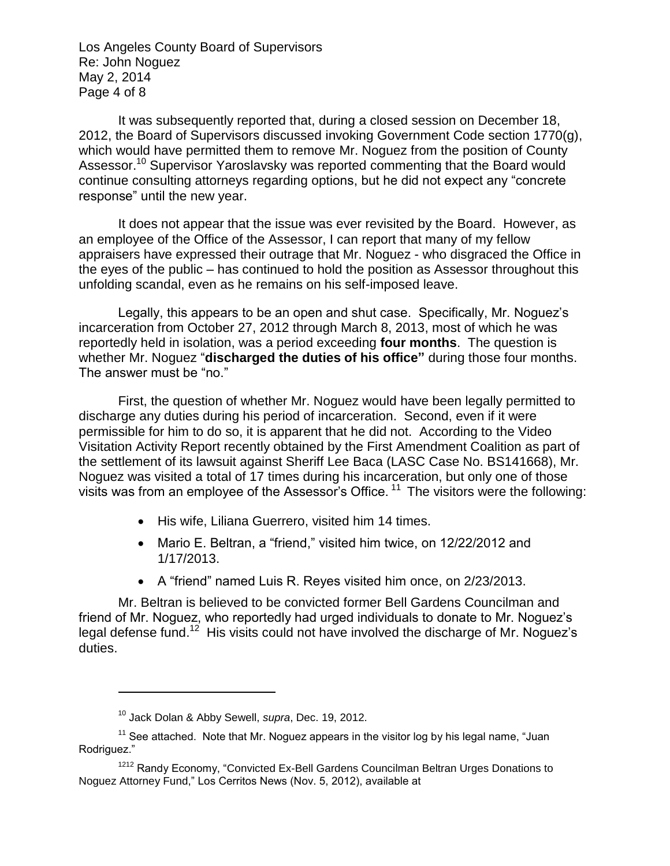Los Angeles County Board of Supervisors Re: John Noguez May 2, 2014 Page 4 of 8

It was subsequently reported that, during a closed session on December 18, 2012, the Board of Supervisors discussed invoking Government Code section 1770(g), which would have permitted them to remove Mr. Noguez from the position of County Assessor.<sup>10</sup> Supervisor Yaroslavsky was reported commenting that the Board would continue consulting attorneys regarding options, but he did not expect any "concrete response" until the new year.

It does not appear that the issue was ever revisited by the Board. However, as an employee of the Office of the Assessor, I can report that many of my fellow appraisers have expressed their outrage that Mr. Noguez - who disgraced the Office in the eyes of the public – has continued to hold the position as Assessor throughout this unfolding scandal, even as he remains on his self-imposed leave.

Legally, this appears to be an open and shut case. Specifically, Mr. Noguez's incarceration from October 27, 2012 through March 8, 2013, most of which he was reportedly held in isolation, was a period exceeding **four months**. The question is whether Mr. Noguez "**discharged the duties of his office"** during those four months. The answer must be "no."

First, the question of whether Mr. Noguez would have been legally permitted to discharge any duties during his period of incarceration. Second, even if it were permissible for him to do so, it is apparent that he did not. According to the Video Visitation Activity Report recently obtained by the First Amendment Coalition as part of the settlement of its lawsuit against Sheriff Lee Baca (LASC Case No. BS141668), Mr. Noguez was visited a total of 17 times during his incarceration, but only one of those visits was from an employee of the Assessor's Office.<sup>11</sup> The visitors were the following:

- His wife, Liliana Guerrero, visited him 14 times.
- Mario E. Beltran, a "friend," visited him twice, on 12/22/2012 and 1/17/2013.
- A "friend" named Luis R. Reyes visited him once, on 2/23/2013.

Mr. Beltran is believed to be convicted former Bell Gardens Councilman and friend of Mr. Noguez, who reportedly had urged individuals to donate to Mr. Noguez's legal defense fund.<sup>12</sup> His visits could not have involved the discharge of Mr. Noguez's duties.

<sup>10</sup> Jack Dolan & Abby Sewell, *supra*, Dec. 19, 2012.

 $11$  See attached. Note that Mr. Noguez appears in the visitor log by his legal name, "Juan Rodriguez."

<sup>1212</sup> Randy Economy, "Convicted Ex-Bell Gardens Councilman Beltran Urges Donations to Noguez Attorney Fund," Los Cerritos News (Nov. 5, 2012), available at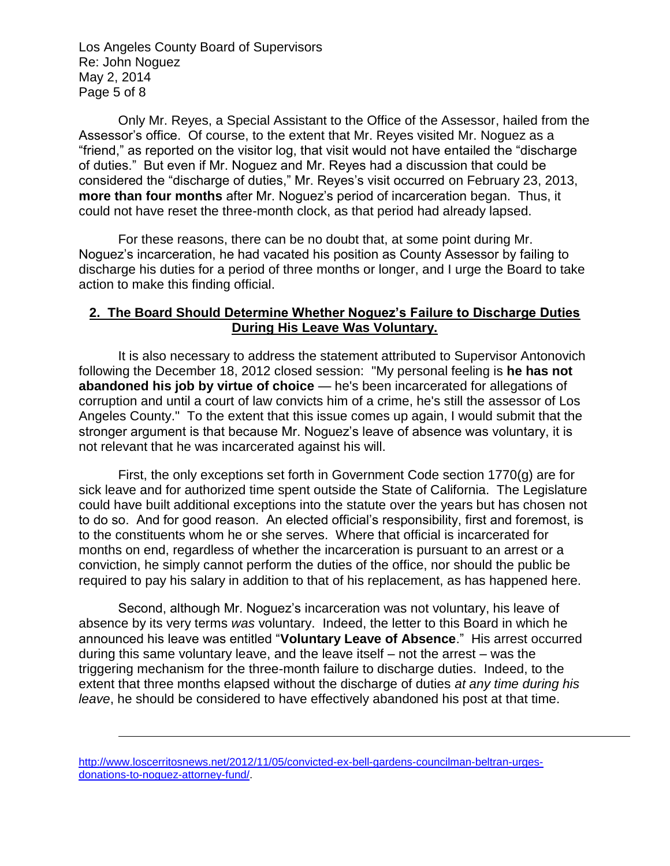Los Angeles County Board of Supervisors Re: John Noguez May 2, 2014 Page 5 of 8

Only Mr. Reyes, a Special Assistant to the Office of the Assessor, hailed from the Assessor's office. Of course, to the extent that Mr. Reyes visited Mr. Noguez as a "friend," as reported on the visitor log, that visit would not have entailed the "discharge of duties." But even if Mr. Noguez and Mr. Reyes had a discussion that could be considered the "discharge of duties," Mr. Reyes's visit occurred on February 23, 2013, **more than four months** after Mr. Noguez's period of incarceration began. Thus, it could not have reset the three-month clock, as that period had already lapsed.

For these reasons, there can be no doubt that, at some point during Mr. Noguez's incarceration, he had vacated his position as County Assessor by failing to discharge his duties for a period of three months or longer, and I urge the Board to take action to make this finding official.

#### **2. The Board Should Determine Whether Noguez's Failure to Discharge Duties During His Leave Was Voluntary.**

It is also necessary to address the statement attributed to Supervisor Antonovich following the December 18, 2012 closed session: "My personal feeling is **he has not abandoned his job by virtue of choice** — he's been incarcerated for allegations of corruption and until a court of law convicts him of a crime, he's still the assessor of Los Angeles County." To the extent that this issue comes up again, I would submit that the stronger argument is that because Mr. Noguez's leave of absence was voluntary, it is not relevant that he was incarcerated against his will.

First, the only exceptions set forth in Government Code section 1770(g) are for sick leave and for authorized time spent outside the State of California. The Legislature could have built additional exceptions into the statute over the years but has chosen not to do so. And for good reason. An elected official's responsibility, first and foremost, is to the constituents whom he or she serves. Where that official is incarcerated for months on end, regardless of whether the incarceration is pursuant to an arrest or a conviction, he simply cannot perform the duties of the office, nor should the public be required to pay his salary in addition to that of his replacement, as has happened here.

Second, although Mr. Noguez's incarceration was not voluntary, his leave of absence by its very terms *was* voluntary. Indeed, the letter to this Board in which he announced his leave was entitled "**Voluntary Leave of Absence**." His arrest occurred during this same voluntary leave, and the leave itself – not the arrest – was the triggering mechanism for the three-month failure to discharge duties. Indeed, to the extent that three months elapsed without the discharge of duties *at any time during his leave*, he should be considered to have effectively abandoned his post at that time.

[http://www.loscerritosnews.net/2012/11/05/convicted-ex-bell-gardens-councilman-beltran-urges](http://www.loscerritosnews.net/2012/11/05/convicted-ex-bell-gardens-councilman-beltran-urges-donations-to-noguez-attorney-fund/)[donations-to-noguez-attorney-fund/.](http://www.loscerritosnews.net/2012/11/05/convicted-ex-bell-gardens-councilman-beltran-urges-donations-to-noguez-attorney-fund/)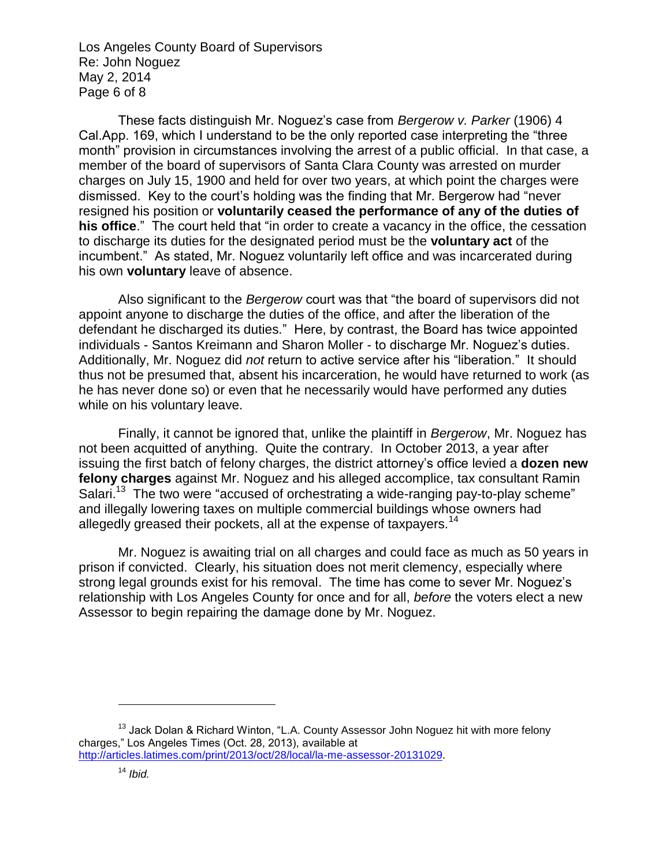Los Angeles County Board of Supervisors Re: John Noguez May 2, 2014 Page 6 of 8

These facts distinguish Mr. Noguez's case from *Bergerow v. Parker* (1906) 4 Cal.App. 169, which I understand to be the only reported case interpreting the "three month" provision in circumstances involving the arrest of a public official. In that case, a member of the board of supervisors of Santa Clara County was arrested on murder charges on July 15, 1900 and held for over two years, at which point the charges were dismissed. Key to the court's holding was the finding that Mr. Bergerow had "never resigned his position or **voluntarily ceased the performance of any of the duties of his office**." The court held that "in order to create a vacancy in the office, the cessation to discharge its duties for the designated period must be the **voluntary act** of the incumbent." As stated, Mr. Noguez voluntarily left office and was incarcerated during his own **voluntary** leave of absence.

Also significant to the *Bergerow* court was that "the board of supervisors did not appoint anyone to discharge the duties of the office, and after the liberation of the defendant he discharged its duties." Here, by contrast, the Board has twice appointed individuals - Santos Kreimann and Sharon Moller - to discharge Mr. Noguez's duties. Additionally, Mr. Noguez did *not* return to active service after his "liberation." It should thus not be presumed that, absent his incarceration, he would have returned to work (as he has never done so) or even that he necessarily would have performed any duties while on his voluntary leave.

Finally, it cannot be ignored that, unlike the plaintiff in *Bergerow*, Mr. Noguez has not been acquitted of anything. Quite the contrary. In October 2013, a year after issuing the first batch of felony charges, the district attorney's office levied a **dozen new felony charges** against Mr. Noguez and his alleged accomplice, tax consultant Ramin Salari.<sup>13</sup> The two were "accused of orchestrating a wide-ranging pay-to-play scheme" and illegally lowering taxes on multiple commercial buildings whose owners had allegedly greased their pockets, all at the expense of taxpayers.<sup>14</sup>

Mr. Noguez is awaiting trial on all charges and could face as much as 50 years in prison if convicted. Clearly, his situation does not merit clemency, especially where strong legal grounds exist for his removal. The time has come to sever Mr. Noguez's relationship with Los Angeles County for once and for all, *before* the voters elect a new Assessor to begin repairing the damage done by Mr. Noguez.

<sup>13</sup> Jack Dolan & Richard Winton, "L.A. County Assessor John Noguez hit with more felony charges," Los Angeles Times (Oct. 28, 2013), available at [http://articles.latimes.com/print/2013/oct/28/local/la-me-assessor-20131029.](http://articles.latimes.com/print/2013/oct/28/local/la-me-assessor-20131029)

<sup>14</sup> *Ibid.*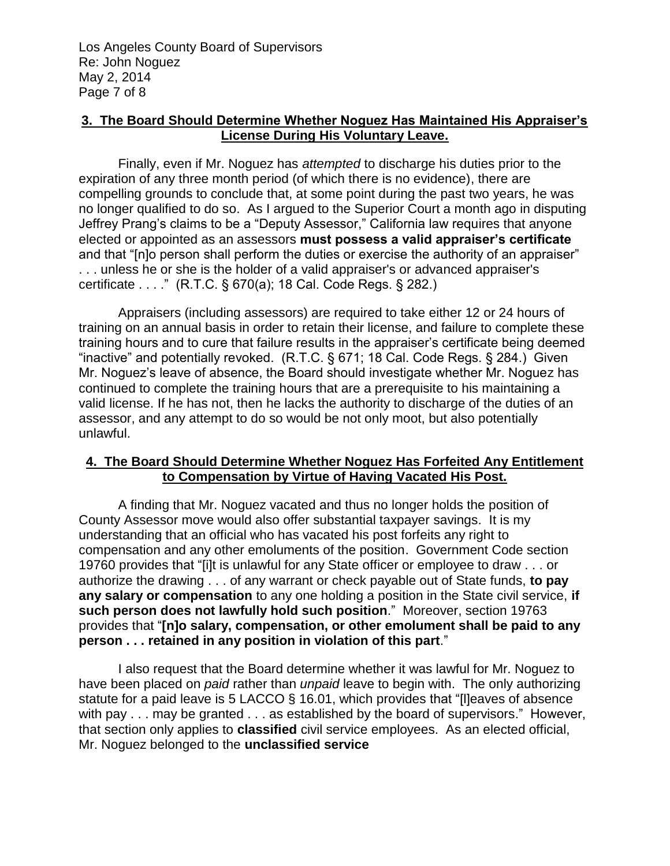### **3. The Board Should Determine Whether Noguez Has Maintained His Appraiser's License During His Voluntary Leave.**

Finally, even if Mr. Noguez has *attempted* to discharge his duties prior to the expiration of any three month period (of which there is no evidence), there are compelling grounds to conclude that, at some point during the past two years, he was no longer qualified to do so. As I argued to the Superior Court a month ago in disputing Jeffrey Prang's claims to be a "Deputy Assessor," California law requires that anyone elected or appointed as an assessors **must possess a valid appraiser's certificate** and that "[n]o person shall perform the duties or exercise the authority of an appraiser" . . . unless he or she is the holder of a valid appraiser's or advanced appraiser's certificate . . . ." (R.T.C. § 670(a); 18 Cal. Code Regs. § 282.)

Appraisers (including assessors) are required to take either 12 or 24 hours of training on an annual basis in order to retain their license, and failure to complete these training hours and to cure that failure results in the appraiser's certificate being deemed "inactive" and potentially revoked. (R.T.C. § 671; 18 Cal. Code Regs. § 284.) Given Mr. Noguez's leave of absence, the Board should investigate whether Mr. Noguez has continued to complete the training hours that are a prerequisite to his maintaining a valid license. If he has not, then he lacks the authority to discharge of the duties of an assessor, and any attempt to do so would be not only moot, but also potentially unlawful.

## **4. The Board Should Determine Whether Noguez Has Forfeited Any Entitlement to Compensation by Virtue of Having Vacated His Post.**

A finding that Mr. Noguez vacated and thus no longer holds the position of County Assessor move would also offer substantial taxpayer savings. It is my understanding that an official who has vacated his post forfeits any right to compensation and any other emoluments of the position. Government Code section 19760 provides that "[i]t is unlawful for any State officer or employee to draw . . . or authorize the drawing . . . of any warrant or check payable out of State funds, **to pay any salary or compensation** to any one holding a position in the State civil service, **if such person does not lawfully hold such position**." Moreover, section 19763 provides that "**[n]o salary, compensation, or other emolument shall be paid to any person . . . retained in any position in violation of this part**."

I also request that the Board determine whether it was lawful for Mr. Noguez to have been placed on *paid* rather than *unpaid* leave to begin with. The only authorizing statute for a paid leave is 5 LACCO § 16.01, which provides that "[l]eaves of absence with pay . . . may be granted . . . as established by the board of supervisors." However, that section only applies to **classified** civil service employees. As an elected official, Mr. Noguez belonged to the **unclassified service**